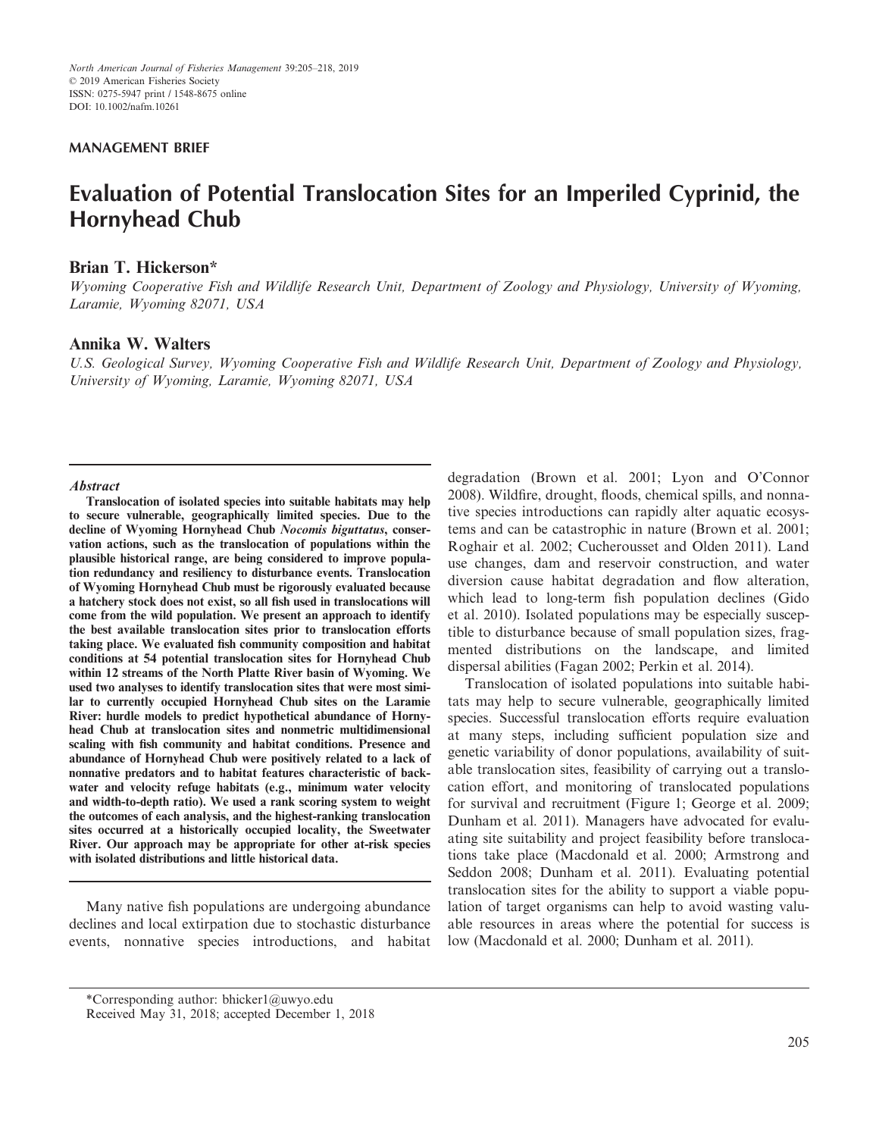*North American Journal of Fisheries Management* 39:205–218, 2019 © 2019 American Fisheries Society ISSN: 0275-5947 print / 1548-8675 online DOI: 10.1002/nafm.10261

# **MANAGEMENT BRIEF**

# **Evaluation of Potential Translocation Sites for an Imperiled Cyprinid, the Hornyhead Chub**

# **Brian T. Hickerson\***

*Wyoming Cooperative Fish and Wildlife Research Unit, Department of Zoology and Physiology, University of Wyoming, Laramie, Wyoming 82071, USA*

# **Annika W. Walters**

*U.S. Geological Survey, Wyoming Cooperative Fish and Wildlife Research Unit, Department of Zoology and Physiology, University of Wyoming, Laramie, Wyoming 82071, USA*

#### *Abstract*

**Abstract Translocation of isolated species into suitable habitats may help to secure vulnerable, geographically limited species. Due to the decline of Wyoming Hornyhead Chub Nocomis biguttatus, conservation actions, such as the translocation of populations within the plausible historical range, are being considered to improve population redundancy and resiliency to disturbance events. Translocation of Wyoming Hornyhead Chub must be rigorously evaluated because a hatchery stock does not exist, so all fish used in translocations will come from the wild population. We present an approach to identify the best available translocation sites prior to translocation efforts taking place. We evaluated fish community composition and habitat conditions at 54 potential translocation sites for Hornyhead Chub within 12 streams of the North Platte River basin of Wyoming. We used two analyses to identify translocation sites that were most similar to currently occupied Hornyhead Chub sites on the Laramie River: hurdle models to predict hypothetical abundance of Hornyhead Chub at translocation sites and nonmetric multidimensional scaling with fish community and habitat conditions. Presence and abundance of Hornyhead Chub were positively related to a lack of nonnative predators and to habitat features characteristic of backwater and velocity refuge habitats (e.g., minimum water velocity and width-to-depth ratio). We used a rank scoring system to weight the outcomes of each analysis, and the highest-ranking translocation sites occurred at a historically occupied locality, the Sweetwater River. Our approach may be appropriate for other at-risk species with isolated distributions and little historical data.**

Many native fish populations are undergoing abundance declines and local extirpation due to stochastic disturbance events, nonnative species introductions, and habitat degradation (Brown et al. 2001; Lyon and O'Connor 2008). Wildfire, drought, floods, chemical spills, and nonnative species introductions can rapidly alter aquatic ecosystems and can be catastrophic in nature (Brown et al. 2001; Roghair et al. 2002; Cucherousset and Olden 2011). Land use changes, dam and reservoir construction, and water diversion cause habitat degradation and flow alteration, which lead to long-term fish population declines (Gido et al. 2010). Isolated populations may be especially susceptible to disturbance because of small population sizes, fragmented distributions on the landscape, and limited dispersal abilities (Fagan 2002; Perkin et al. 2014).

Translocation of isolated populations into suitable habitats may help to secure vulnerable, geographically limited species. Successful translocation efforts require evaluation at many steps, including sufficient population size and genetic variability of donor populations, availability of suitable translocation sites, feasibility of carrying out a translocation effort, and monitoring of translocated populations for survival and recruitment (Figure 1; George et al. 2009; Dunham et al. 2011). Managers have advocated for evaluating site suitability and project feasibility before translocations take place (Macdonald et al. 2000; Armstrong and Seddon 2008; Dunham et al. 2011). Evaluating potential translocation sites for the ability to support a viable population of target organisms can help to avoid wasting valuable resources in areas where the potential for success is low (Macdonald et al. 2000; Dunham et al. 2011).

<sup>\*</sup>Corresponding author: [bhicker1@uwyo.edu](mailto:) Received May 31, 2018; accepted December 1, 2018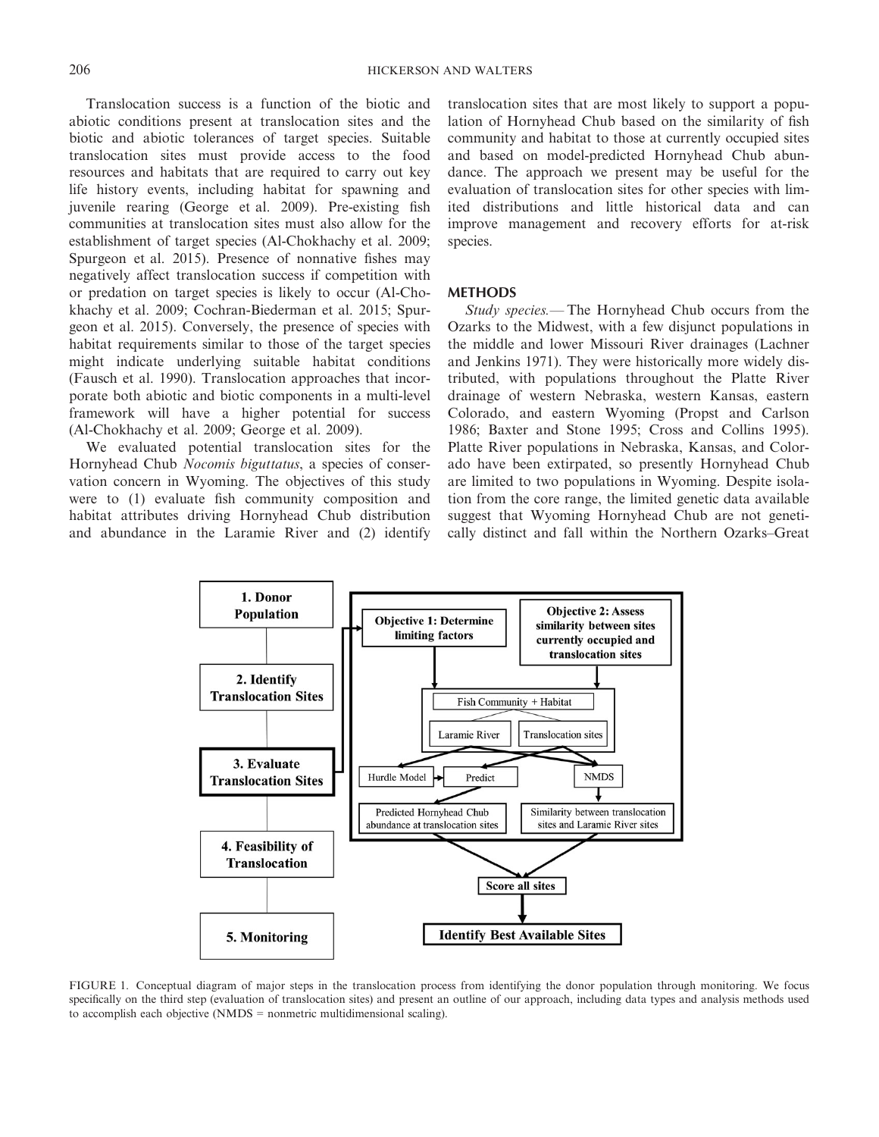Translocation success is a function of the biotic and abiotic conditions present at translocation sites and the biotic and abiotic tolerances of target species. Suitable translocation sites must provide access to the food resources and habitats that are required to carry out key life history events, including habitat for spawning and juvenile rearing (George et al. 2009). Pre-existing fish communities at translocation sites must also allow for the establishment of target species (Al-Chokhachy et al. 2009; Spurgeon et al. 2015). Presence of nonnative fishes may negatively affect translocation success if competition with or predation on target species is likely to occur (Al-Chokhachy et al. 2009; Cochran-Biederman et al. 2015; Spurgeon et al. 2015). Conversely, the presence of species with habitat requirements similar to those of the target species might indicate underlying suitable habitat conditions (Fausch et al. 1990). Translocation approaches that incorporate both abiotic and biotic components in a multi-level framework will have a higher potential for success (Al-Chokhachy et al. 2009; George et al. 2009).

We evaluated potential translocation sites for the Hornyhead Chub *Nocomis biguttatus*, a species of conservation concern in Wyoming. The objectives of this study were to (1) evaluate fish community composition and habitat attributes driving Hornyhead Chub distribution and abundance in the Laramie River and (2) identify translocation sites that are most likely to support a population of Hornyhead Chub based on the similarity of fish community and habitat to those at currently occupied sites and based on model-predicted Hornyhead Chub abundance. The approach we present may be useful for the evaluation of translocation sites for other species with limited distributions and little historical data and can improve management and recovery efforts for at-risk species.

## **METHODS**

*Study species.—* The Hornyhead Chub occurs from the Ozarks to the Midwest, with a few disjunct populations in the middle and lower Missouri River drainages (Lachner and Jenkins 1971). They were historically more widely distributed, with populations throughout the Platte River drainage of western Nebraska, western Kansas, eastern Colorado, and eastern Wyoming (Propst and Carlson 1986; Baxter and Stone 1995; Cross and Collins 1995). Platte River populations in Nebraska, Kansas, and Colorado have been extirpated, so presently Hornyhead Chub are limited to two populations in Wyoming. Despite isolation from the core range, the limited genetic data available suggest that Wyoming Hornyhead Chub are not genetically distinct and fall within the Northern Ozarks–Great



FIGURE 1. Conceptual diagram of major steps in the translocation process from identifying the donor population through monitoring. We focus specifically on the third step (evaluation of translocation sites) and present an outline of our approach, including data types and analysis methods used to accomplish each objective (NMDS = nonmetric multidimensional scaling).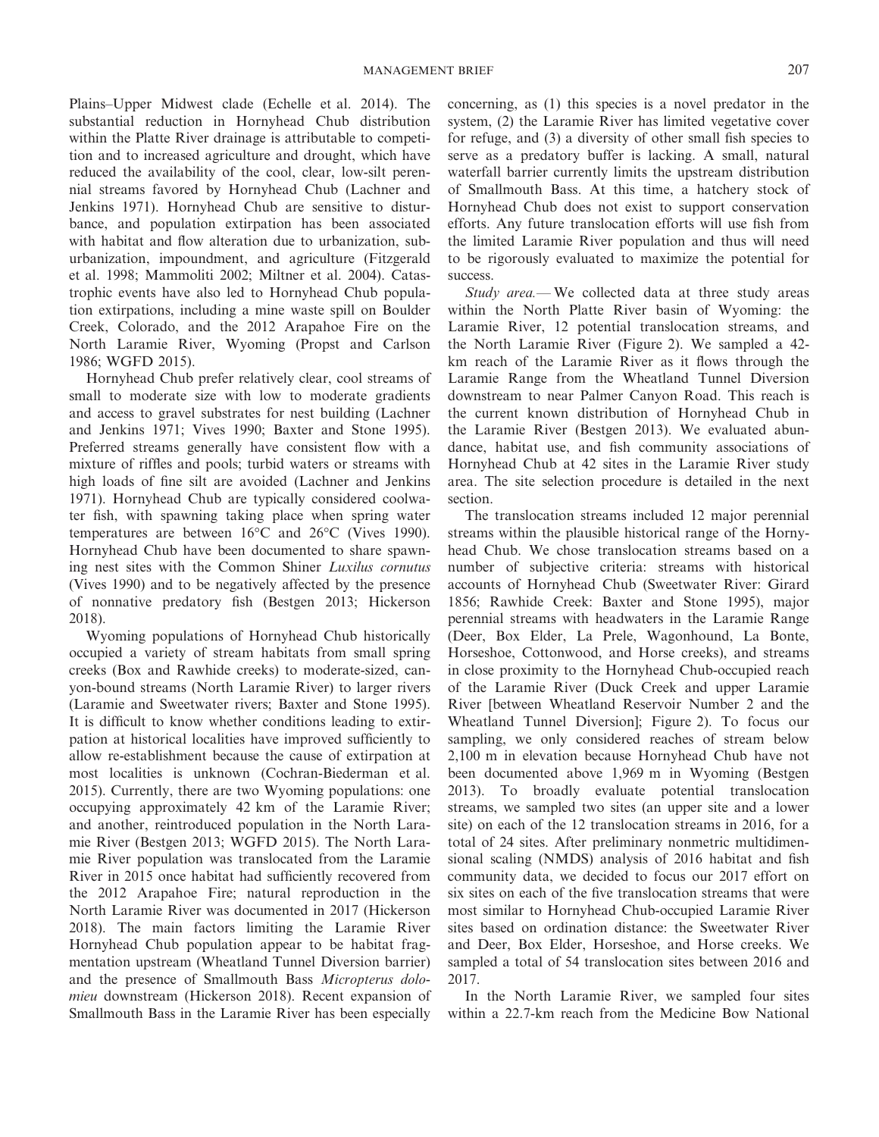Plains–Upper Midwest clade (Echelle et al. 2014). The substantial reduction in Hornyhead Chub distribution within the Platte River drainage is attributable to competition and to increased agriculture and drought, which have reduced the availability of the cool, clear, low-silt perennial streams favored by Hornyhead Chub (Lachner and Jenkins 1971). Hornyhead Chub are sensitive to disturbance, and population extirpation has been associated with habitat and flow alteration due to urbanization, suburbanization, impoundment, and agriculture (Fitzgerald et al. 1998; Mammoliti 2002; Miltner et al. 2004). Catastrophic events have also led to Hornyhead Chub population extirpations, including a mine waste spill on Boulder Creek, Colorado, and the 2012 Arapahoe Fire on the North Laramie River, Wyoming (Propst and Carlson 1986; WGFD 2015).

Hornyhead Chub prefer relatively clear, cool streams of small to moderate size with low to moderate gradients and access to gravel substrates for nest building (Lachner and Jenkins 1971; Vives 1990; Baxter and Stone 1995). Preferred streams generally have consistent flow with a mixture of riffles and pools; turbid waters or streams with high loads of fine silt are avoided (Lachner and Jenkins 1971). Hornyhead Chub are typically considered coolwater fish, with spawning taking place when spring water temperatures are between 16°C and 26°C (Vives 1990). Hornyhead Chub have been documented to share spawning nest sites with the Common Shiner *Luxilus cornutus* (Vives 1990) and to be negatively affected by the presence of nonnative predatory fish (Bestgen 2013; Hickerson 2018).

Wyoming populations of Hornyhead Chub historically occupied a variety of stream habitats from small spring creeks (Box and Rawhide creeks) to moderate-sized, canyon-bound streams (North Laramie River) to larger rivers (Laramie and Sweetwater rivers; Baxter and Stone 1995). It is difficult to know whether conditions leading to extirpation at historical localities have improved sufficiently to allow re-establishment because the cause of extirpation at most localities is unknown (Cochran-Biederman et al. 2015). Currently, there are two Wyoming populations: one occupying approximately 42 km of the Laramie River; and another, reintroduced population in the North Laramie River (Bestgen 2013; WGFD 2015). The North Laramie River population was translocated from the Laramie River in 2015 once habitat had sufficiently recovered from the 2012 Arapahoe Fire; natural reproduction in the North Laramie River was documented in 2017 (Hickerson 2018). The main factors limiting the Laramie River Hornyhead Chub population appear to be habitat fragmentation upstream (Wheatland Tunnel Diversion barrier) and the presence of Smallmouth Bass *Micropterus dolomieu* downstream (Hickerson 2018). Recent expansion of Smallmouth Bass in the Laramie River has been especially concerning, as (1) this species is a novel predator in the system, (2) the Laramie River has limited vegetative cover for refuge, and (3) a diversity of other small fish species to serve as a predatory buffer is lacking. A small, natural waterfall barrier currently limits the upstream distribution of Smallmouth Bass. At this time, a hatchery stock of Hornyhead Chub does not exist to support conservation efforts. Any future translocation efforts will use fish from the limited Laramie River population and thus will need to be rigorously evaluated to maximize the potential for success.

*Study area.—* We collected data at three study areas within the North Platte River basin of Wyoming: the Laramie River, 12 potential translocation streams, and the North Laramie River (Figure 2). We sampled a 42 km reach of the Laramie River as it flows through the Laramie Range from the Wheatland Tunnel Diversion downstream to near Palmer Canyon Road. This reach is the current known distribution of Hornyhead Chub in the Laramie River (Bestgen 2013). We evaluated abundance, habitat use, and fish community associations of Hornyhead Chub at 42 sites in the Laramie River study area. The site selection procedure is detailed in the next section.

The translocation streams included 12 major perennial streams within the plausible historical range of the Hornyhead Chub. We chose translocation streams based on a number of subjective criteria: streams with historical accounts of Hornyhead Chub (Sweetwater River: Girard 1856; Rawhide Creek: Baxter and Stone 1995), major perennial streams with headwaters in the Laramie Range (Deer, Box Elder, La Prele, Wagonhound, La Bonte, Horseshoe, Cottonwood, and Horse creeks), and streams in close proximity to the Hornyhead Chub-occupied reach of the Laramie River (Duck Creek and upper Laramie River [between Wheatland Reservoir Number 2 and the Wheatland Tunnel Diversion]; Figure 2). To focus our sampling, we only considered reaches of stream below 2,100 m in elevation because Hornyhead Chub have not been documented above 1,969 m in Wyoming (Bestgen 2013). To broadly evaluate potential translocation streams, we sampled two sites (an upper site and a lower site) on each of the 12 translocation streams in 2016, for a total of 24 sites. After preliminary nonmetric multidimensional scaling (NMDS) analysis of 2016 habitat and fish community data, we decided to focus our 2017 effort on six sites on each of the five translocation streams that were most similar to Hornyhead Chub-occupied Laramie River sites based on ordination distance: the Sweetwater River and Deer, Box Elder, Horseshoe, and Horse creeks. We sampled a total of 54 translocation sites between 2016 and 2017.

In the North Laramie River, we sampled four sites within a 22.7-km reach from the Medicine Bow National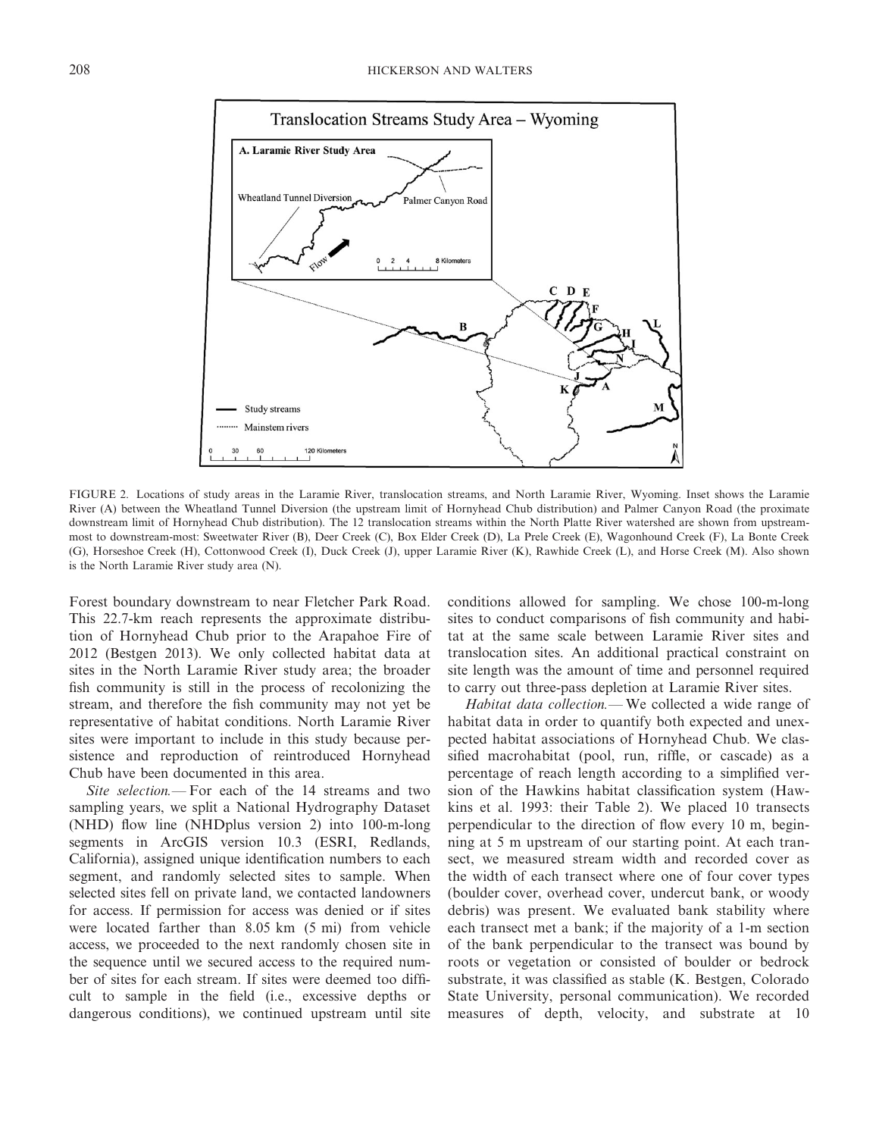

FIGURE 2. Locations of study areas in the Laramie River, translocation streams, and North Laramie River, Wyoming. Inset shows the Laramie River (A) between the Wheatland Tunnel Diversion (the upstream limit of Hornyhead Chub distribution) and Palmer Canyon Road (the proximate downstream limit of Hornyhead Chub distribution). The 12 translocation streams within the North Platte River watershed are shown from upstreammost to downstream-most: Sweetwater River (B), Deer Creek (C), Box Elder Creek (D), La Prele Creek (E), Wagonhound Creek (F), La Bonte Creek (G), Horseshoe Creek (H), Cottonwood Creek (I), Duck Creek (J), upper Laramie River (K), Rawhide Creek (L), and Horse Creek (M). Also shown is the North Laramie River study area (N).

Forest boundary downstream to near Fletcher Park Road. This 22.7-km reach represents the approximate distribution of Hornyhead Chub prior to the Arapahoe Fire of 2012 (Bestgen 2013). We only collected habitat data at sites in the North Laramie River study area; the broader fish community is still in the process of recolonizing the stream, and therefore the fish community may not yet be representative of habitat conditions. North Laramie River sites were important to include in this study because persistence and reproduction of reintroduced Hornyhead Chub have been documented in this area.

*Site selection.—* For each of the 14 streams and two sampling years, we split a National Hydrography Dataset (NHD) flow line (NHDplus version 2) into 100-m-long segments in ArcGIS version 10.3 (ESRI, Redlands, California), assigned unique identification numbers to each segment, and randomly selected sites to sample. When selected sites fell on private land, we contacted landowners for access. If permission for access was denied or if sites were located farther than 8.05 km (5 mi) from vehicle access, we proceeded to the next randomly chosen site in the sequence until we secured access to the required number of sites for each stream. If sites were deemed too difficult to sample in the field (i.e., excessive depths or dangerous conditions), we continued upstream until site conditions allowed for sampling. We chose 100-m-long sites to conduct comparisons of fish community and habitat at the same scale between Laramie River sites and translocation sites. An additional practical constraint on site length was the amount of time and personnel required to carry out three-pass depletion at Laramie River sites.

*Habitat data collection.—* We collected a wide range of habitat data in order to quantify both expected and unexpected habitat associations of Hornyhead Chub. We classified macrohabitat (pool, run, riffle, or cascade) as a percentage of reach length according to a simplified version of the Hawkins habitat classification system (Hawkins et al. 1993: their Table 2). We placed 10 transects perpendicular to the direction of flow every 10 m, beginning at 5 m upstream of our starting point. At each transect, we measured stream width and recorded cover as the width of each transect where one of four cover types (boulder cover, overhead cover, undercut bank, or woody debris) was present. We evaluated bank stability where each transect met a bank; if the majority of a 1-m section of the bank perpendicular to the transect was bound by roots or vegetation or consisted of boulder or bedrock substrate, it was classified as stable (K. Bestgen, Colorado State University, personal communication). We recorded measures of depth, velocity, and substrate at 10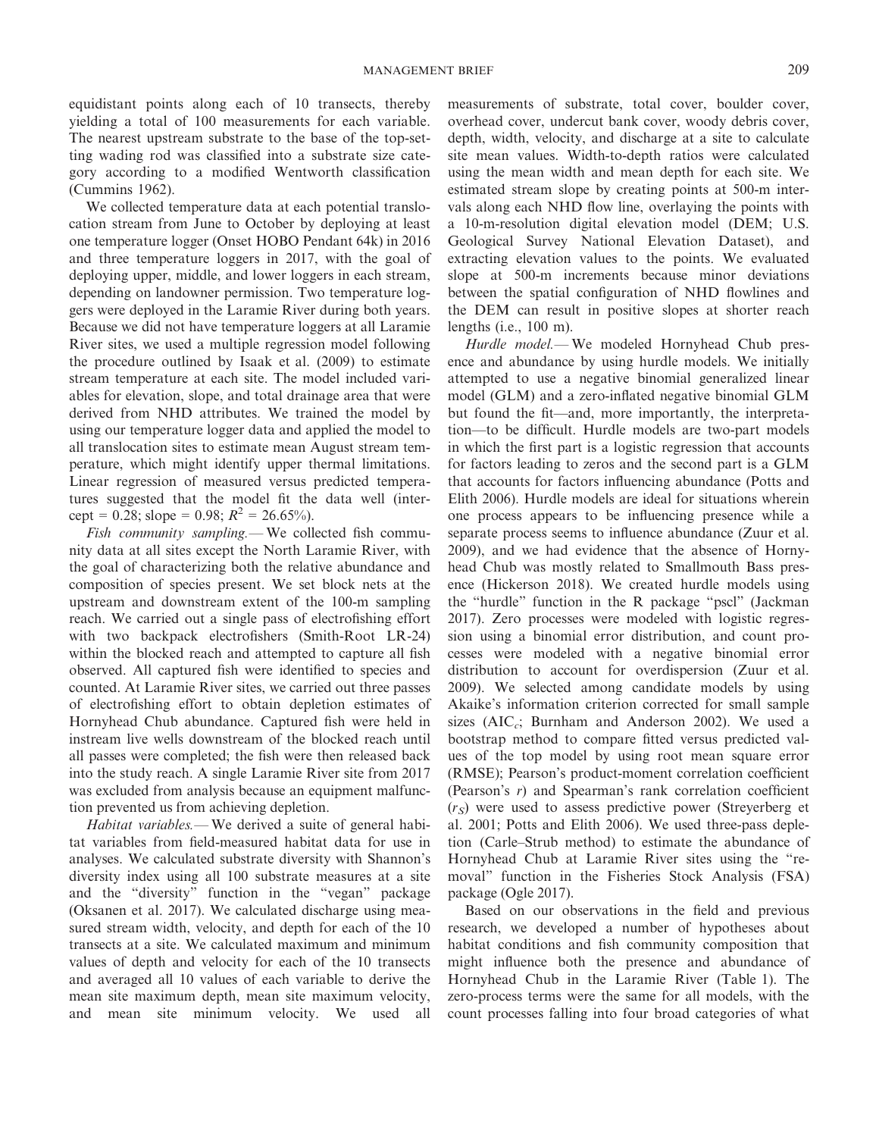equidistant points along each of 10 transects, thereby yielding a total of 100 measurements for each variable. The nearest upstream substrate to the base of the top-setting wading rod was classified into a substrate size category according to a modified Wentworth classification (Cummins 1962).

We collected temperature data at each potential translocation stream from June to October by deploying at least one temperature logger (Onset HOBO Pendant 64k) in 2016 and three temperature loggers in 2017, with the goal of deploying upper, middle, and lower loggers in each stream, depending on landowner permission. Two temperature loggers were deployed in the Laramie River during both years. Because we did not have temperature loggers at all Laramie River sites, we used a multiple regression model following the procedure outlined by Isaak et al. (2009) to estimate stream temperature at each site. The model included variables for elevation, slope, and total drainage area that were derived from NHD attributes. We trained the model by using our temperature logger data and applied the model to all translocation sites to estimate mean August stream temperature, which might identify upper thermal limitations. Linear regression of measured versus predicted temperatures suggested that the model fit the data well (intercept = 0.28; slope = 0.98;  $R^2 = 26.65\%$ ).

*Fish community sampling.—* We collected fish community data at all sites except the North Laramie River, with the goal of characterizing both the relative abundance and composition of species present. We set block nets at the upstream and downstream extent of the 100-m sampling reach. We carried out a single pass of electrofishing effort with two backpack electrofishers (Smith-Root LR-24) within the blocked reach and attempted to capture all fish observed. All captured fish were identified to species and counted. At Laramie River sites, we carried out three passes of electrofishing effort to obtain depletion estimates of Hornyhead Chub abundance. Captured fish were held in instream live wells downstream of the blocked reach until all passes were completed; the fish were then released back into the study reach. A single Laramie River site from 2017 was excluded from analysis because an equipment malfunction prevented us from achieving depletion.

*Habitat variables.—* We derived a suite of general habitat variables from field-measured habitat data for use in analyses. We calculated substrate diversity with Shannon's diversity index using all 100 substrate measures at a site and the "diversity" function in the "vegan" package (Oksanen et al. 2017). We calculated discharge using measured stream width, velocity, and depth for each of the 10 transects at a site. We calculated maximum and minimum values of depth and velocity for each of the 10 transects and averaged all 10 values of each variable to derive the mean site maximum depth, mean site maximum velocity, and mean site minimum velocity. We used all measurements of substrate, total cover, boulder cover, overhead cover, undercut bank cover, woody debris cover, depth, width, velocity, and discharge at a site to calculate site mean values. Width-to-depth ratios were calculated using the mean width and mean depth for each site. We estimated stream slope by creating points at 500-m intervals along each NHD flow line, overlaying the points with a 10-m-resolution digital elevation model (DEM; U.S. Geological Survey National Elevation Dataset), and extracting elevation values to the points. We evaluated slope at 500-m increments because minor deviations between the spatial configuration of NHD flowlines and the DEM can result in positive slopes at shorter reach lengths (i.e., 100 m).

*Hurdle model.—* We modeled Hornyhead Chub presence and abundance by using hurdle models. We initially attempted to use a negative binomial generalized linear model (GLM) and a zero-inflated negative binomial GLM but found the fit—and, more importantly, the interpretation—to be difficult. Hurdle models are two-part models in which the first part is a logistic regression that accounts for factors leading to zeros and the second part is a GLM that accounts for factors influencing abundance (Potts and Elith 2006). Hurdle models are ideal for situations wherein one process appears to be influencing presence while a separate process seems to influence abundance (Zuur et al. 2009), and we had evidence that the absence of Hornyhead Chub was mostly related to Smallmouth Bass presence (Hickerson 2018). We created hurdle models using the "hurdle" function in the R package "pscl" (Jackman 2017). Zero processes were modeled with logistic regression using a binomial error distribution, and count processes were modeled with a negative binomial error distribution to account for overdispersion (Zuur et al. 2009). We selected among candidate models by using Akaike's information criterion corrected for small sample sizes (AIC*c*; Burnham and Anderson 2002). We used a bootstrap method to compare fitted versus predicted values of the top model by using root mean square error (RMSE); Pearson's product-moment correlation coefficient (Pearson's *r*) and Spearman's rank correlation coefficient (*rS*) were used to assess predictive power (Streyerberg et al. 2001; Potts and Elith 2006). We used three-pass depletion (Carle–Strub method) to estimate the abundance of Hornyhead Chub at Laramie River sites using the "removal" function in the Fisheries Stock Analysis (FSA) package (Ogle 2017).

Based on our observations in the field and previous research, we developed a number of hypotheses about habitat conditions and fish community composition that might influence both the presence and abundance of Hornyhead Chub in the Laramie River (Table 1). The zero-process terms were the same for all models, with the count processes falling into four broad categories of what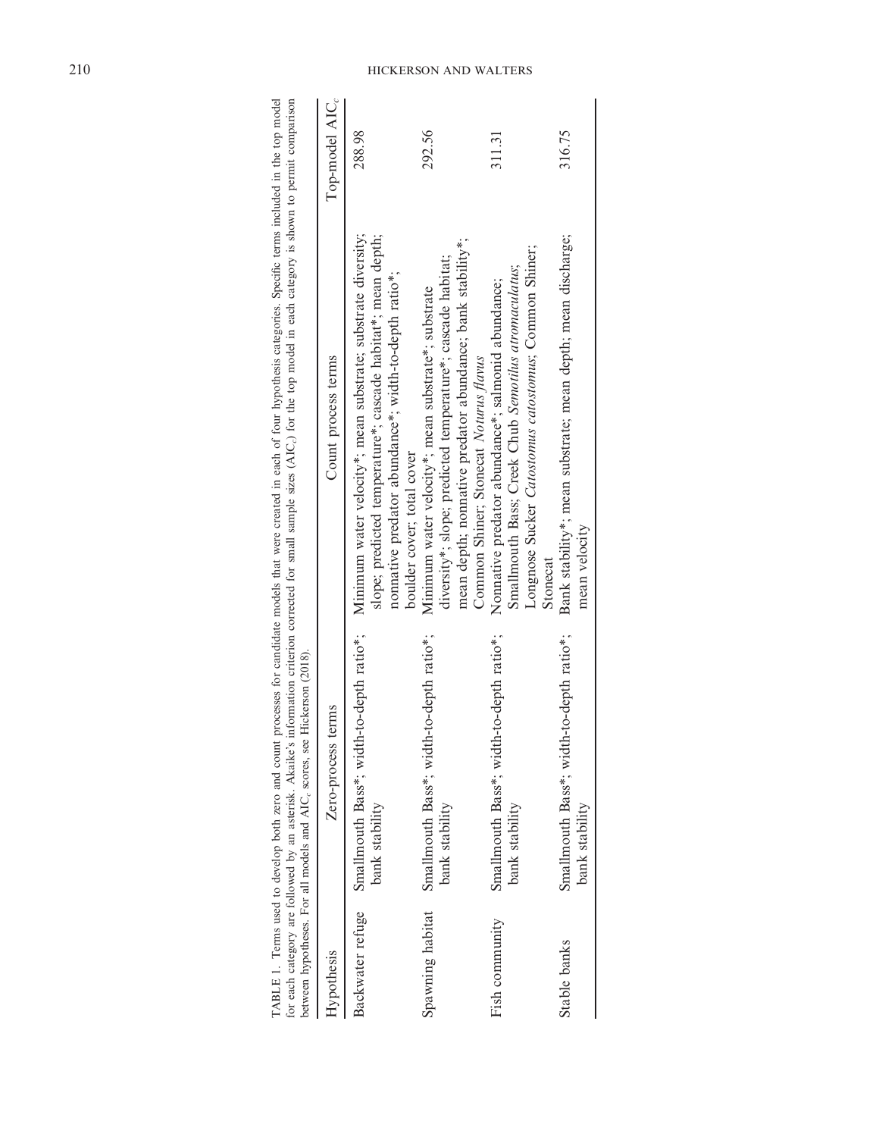|                  | Hickerson (2018)<br>between hypotheses. For all models and AIC <sub>c</sub> scores, see<br>TABLE 1. Terms used to develop both zero and count<br>for each category are followed by an asterisk. Akaike's | processes for candidate models that were created in each of four hypothesis categories. Specific terms included in the top model<br>information criterion corrected for small sample sizes (AIC <sub>c</sub> ) for the top model in each category is shown to permit comparison |                          |
|------------------|----------------------------------------------------------------------------------------------------------------------------------------------------------------------------------------------------------|---------------------------------------------------------------------------------------------------------------------------------------------------------------------------------------------------------------------------------------------------------------------------------|--------------------------|
| Hypothesis       | terms<br>Zero-process                                                                                                                                                                                    | Count process terms                                                                                                                                                                                                                                                             | Top-model $\text{AIC}_c$ |
| Backwater refuge | Smallmouth Bass*; width-to-depth ratio*;<br>bank stability                                                                                                                                               | Minimum water velocity*; mean substrate; substrate diversity;<br>slope; predicted temperature*; cascade habitat*; mean depth;<br>nonnative predator abundance*; width-to-depth ratio*;<br>boulder cover; total cover                                                            | 288.98                   |
| Spawning habitat | Smallmouth Bass*; width-to-depth ratio*;<br>bank stability                                                                                                                                               | mean depth; nonnative predator abundance; bank stability*;<br>diversity*; slope; predicted temperature*; cascade habitat;<br>Minimum water velocity*; mean substrate*; substrate<br>Common Shiner; Stonecat Noturus flavus                                                      | 292.56                   |
| Fish community   | Smallmouth Bass*; width-to-depth ratio*;<br>bank stability                                                                                                                                               | Longnose Sucker Catostomus catostomus; Common Shiner;<br>Smallmouth Bass; Creek Chub Semotilus atromaculatus;<br>Nonnative predator abundance*; salmonid abundance;<br>Stonecat                                                                                                 | 311.31                   |
| Stable banks     | Smallmouth Bass*; width-to-depth ratio*;<br>bank stability                                                                                                                                               | Bank stability*; mean substrate; mean depth; mean discharge;<br>mean velocity                                                                                                                                                                                                   | 316.75                   |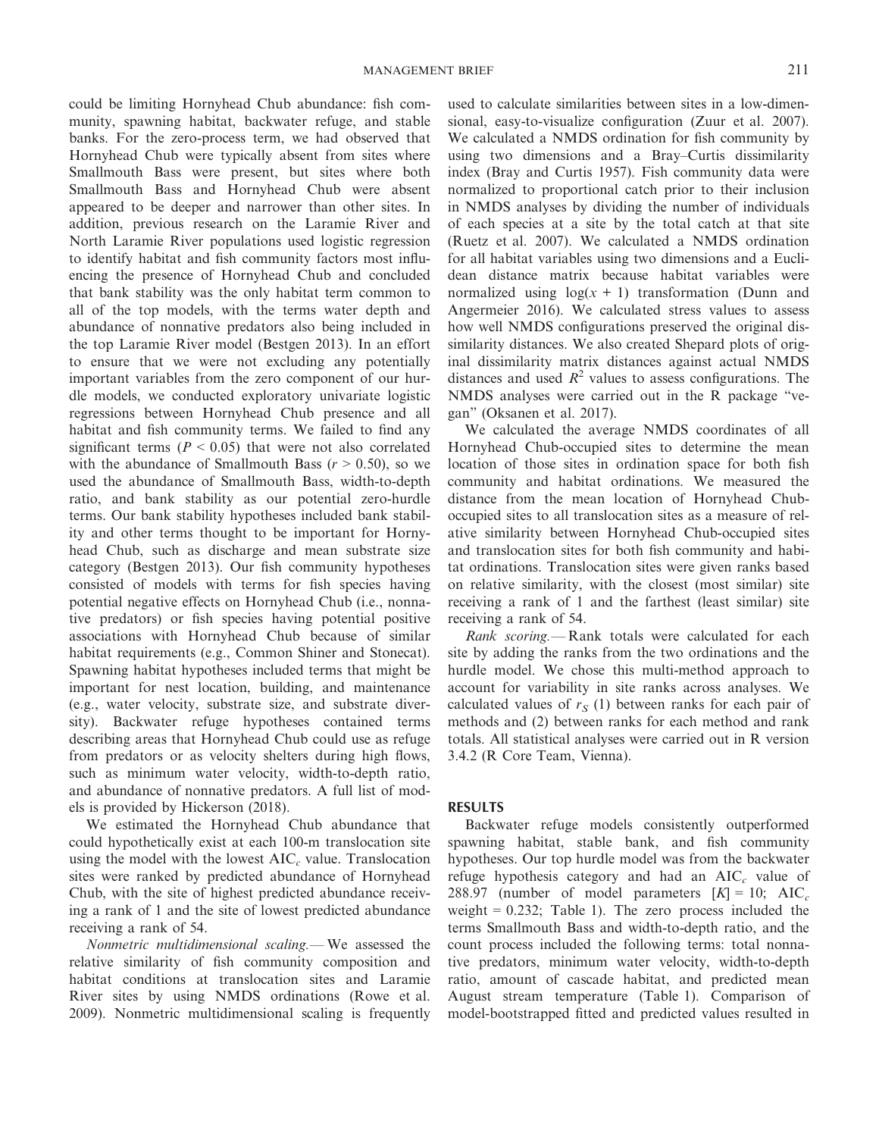could be limiting Hornyhead Chub abundance: fish community, spawning habitat, backwater refuge, and stable banks. For the zero-process term, we had observed that Hornyhead Chub were typically absent from sites where Smallmouth Bass were present, but sites where both Smallmouth Bass and Hornyhead Chub were absent appeared to be deeper and narrower than other sites. In addition, previous research on the Laramie River and North Laramie River populations used logistic regression to identify habitat and fish community factors most influencing the presence of Hornyhead Chub and concluded that bank stability was the only habitat term common to all of the top models, with the terms water depth and abundance of nonnative predators also being included in the top Laramie River model (Bestgen 2013). In an effort to ensure that we were not excluding any potentially important variables from the zero component of our hurdle models, we conducted exploratory univariate logistic regressions between Hornyhead Chub presence and all habitat and fish community terms. We failed to find any significant terms ( $P < 0.05$ ) that were not also correlated with the abundance of Smallmouth Bass  $(r > 0.50)$ , so we used the abundance of Smallmouth Bass, width-to-depth ratio, and bank stability as our potential zero-hurdle terms. Our bank stability hypotheses included bank stability and other terms thought to be important for Hornyhead Chub, such as discharge and mean substrate size category (Bestgen 2013). Our fish community hypotheses consisted of models with terms for fish species having potential negative effects on Hornyhead Chub (i.e., nonnative predators) or fish species having potential positive associations with Hornyhead Chub because of similar habitat requirements (e.g., Common Shiner and Stonecat). Spawning habitat hypotheses included terms that might be important for nest location, building, and maintenance (e.g., water velocity, substrate size, and substrate diversity). Backwater refuge hypotheses contained terms describing areas that Hornyhead Chub could use as refuge from predators or as velocity shelters during high flows, such as minimum water velocity, width-to-depth ratio, and abundance of nonnative predators. A full list of models is provided by Hickerson (2018).

We estimated the Hornyhead Chub abundance that could hypothetically exist at each 100-m translocation site using the model with the lowest  $AIC<sub>c</sub>$  value. Translocation sites were ranked by predicted abundance of Hornyhead Chub, with the site of highest predicted abundance receiving a rank of 1 and the site of lowest predicted abundance receiving a rank of 54.

*Nonmetric multidimensional scaling.—* We assessed the relative similarity of fish community composition and habitat conditions at translocation sites and Laramie River sites by using NMDS ordinations (Rowe et al. 2009). Nonmetric multidimensional scaling is frequently used to calculate similarities between sites in a low-dimensional, easy-to-visualize configuration (Zuur et al. 2007). We calculated a NMDS ordination for fish community by using two dimensions and a Bray–Curtis dissimilarity index (Bray and Curtis 1957). Fish community data were normalized to proportional catch prior to their inclusion in NMDS analyses by dividing the number of individuals of each species at a site by the total catch at that site (Ruetz et al. 2007). We calculated a NMDS ordination for all habitat variables using two dimensions and a Euclidean distance matrix because habitat variables were normalized using  $log(x + 1)$  transformation (Dunn and Angermeier 2016). We calculated stress values to assess how well NMDS configurations preserved the original dissimilarity distances. We also created Shepard plots of original dissimilarity matrix distances against actual NMDS distances and used  $R^2$  values to assess configurations. The NMDS analyses were carried out in the R package "vegan" (Oksanen et al. 2017).

We calculated the average NMDS coordinates of all Hornyhead Chub-occupied sites to determine the mean location of those sites in ordination space for both fish community and habitat ordinations. We measured the distance from the mean location of Hornyhead Chuboccupied sites to all translocation sites as a measure of relative similarity between Hornyhead Chub-occupied sites and translocation sites for both fish community and habitat ordinations. Translocation sites were given ranks based on relative similarity, with the closest (most similar) site receiving a rank of 1 and the farthest (least similar) site receiving a rank of 54.

*Rank scoring.—* Rank totals were calculated for each site by adding the ranks from the two ordinations and the hurdle model. We chose this multi-method approach to account for variability in site ranks across analyses. We calculated values of  $r<sub>S</sub>$  (1) between ranks for each pair of methods and (2) between ranks for each method and rank totals. All statistical analyses were carried out in R version 3.4.2 (R Core Team, Vienna).

#### **RESULTS**

Backwater refuge models consistently outperformed spawning habitat, stable bank, and fish community hypotheses. Our top hurdle model was from the backwater refuge hypothesis category and had an AIC*<sup>c</sup>* value of 288.97 (number of model parameters  $[K] = 10$ ; AIC<sub>c</sub> weight  $= 0.232$ ; Table 1). The zero process included the terms Smallmouth Bass and width-to-depth ratio, and the count process included the following terms: total nonnative predators, minimum water velocity, width-to-depth ratio, amount of cascade habitat, and predicted mean August stream temperature (Table 1). Comparison of model-bootstrapped fitted and predicted values resulted in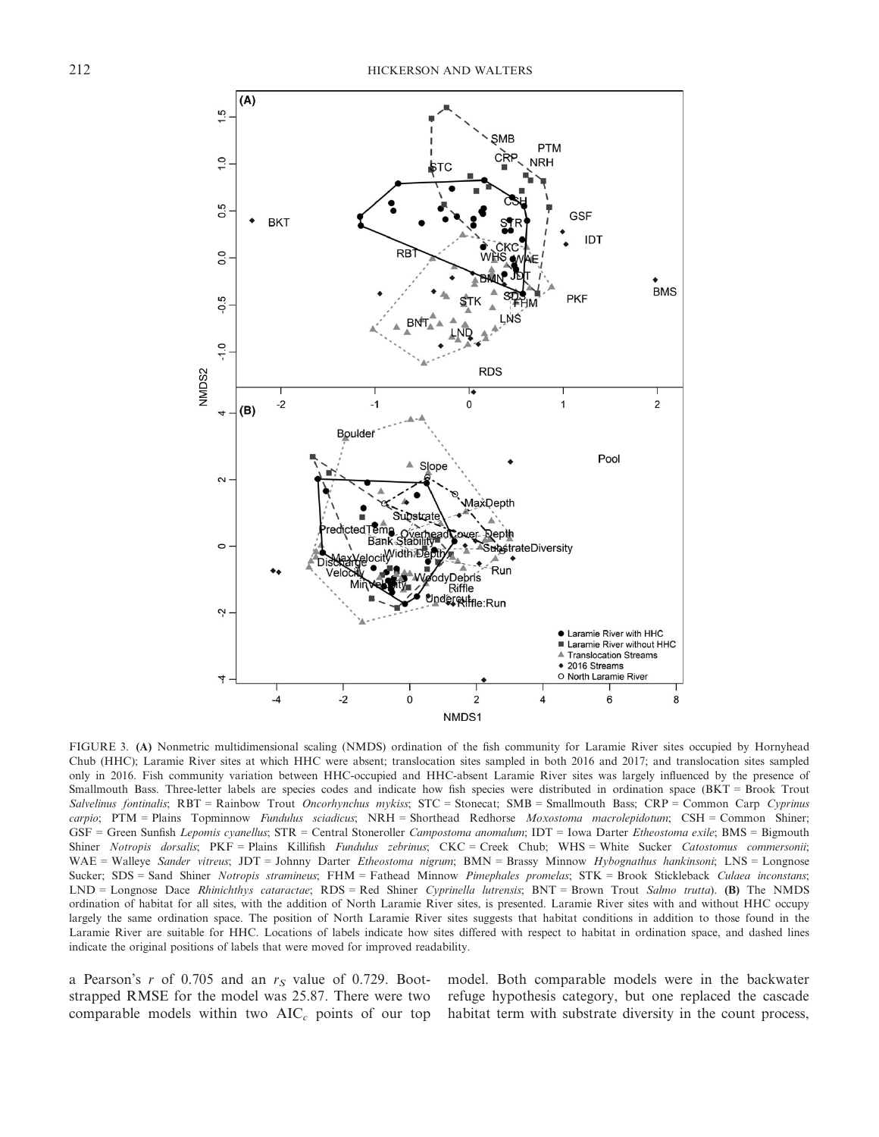

FIGURE 3. **(A)** Nonmetric multidimensional scaling (NMDS) ordination of the fish community for Laramie River sites occupied by Hornyhead Chub (HHC); Laramie River sites at which HHC were absent; translocation sites sampled in both 2016 and 2017; and translocation sites sampled only in 2016. Fish community variation between HHC-occupied and HHC-absent Laramie River sites was largely influenced by the presence of Smallmouth Bass. Three-letter labels are species codes and indicate how fish species were distributed in ordination space (BKT = Brook Trout *Salvelinus fontinalis*; RBT = Rainbow Trout *Oncorhynchus mykiss*; STC = Stonecat; SMB = Smallmouth Bass; CRP = Common Carp *Cyprinus carpio*; PTM = Plains Topminnow *Fundulus sciadicus*; NRH = Shorthead Redhorse *Moxostoma macrolepidotum*; CSH = Common Shiner; GSF = Green Sunfish *Lepomis cyanellus*; STR = Central Stoneroller *Campostoma anomalum*; IDT = Iowa Darter *Etheostoma exile*; BMS = Bigmouth Shiner *Notropis dorsalis*; PKF = Plains Killifish *Fundulus zebrinus*; CKC = Creek Chub; WHS = White Sucker *Catostomus commersonii*; WAE = Walleye *Sander vitreus*; JDT = Johnny Darter *Etheostoma nigrum*; BMN = Brassy Minnow *Hybognathus hankinsoni*; LNS = Longnose Sucker; SDS = Sand Shiner *Notropis stramineus*; FHM = Fathead Minnow *Pimephales promelas*; STK = Brook Stickleback *Culaea inconstans*; LND = Longnose Dace *Rhinichthys cataractae*; RDS = Red Shiner *Cyprinella lutrensis*; BNT = Brown Trout *Salmo trutta*). **(B)** The NMDS ordination of habitat for all sites, with the addition of North Laramie River sites, is presented. Laramie River sites with and without HHC occupy largely the same ordination space. The position of North Laramie River sites suggests that habitat conditions in addition to those found in the Laramie River are suitable for HHC. Locations of labels indicate how sites differed with respect to habitat in ordination space, and dashed lines indicate the original positions of labels that were moved for improved readability.

a Pearson's  $r$  of 0.705 and an  $r<sub>S</sub>$  value of 0.729. Bootstrapped RMSE for the model was 25.87. There were two comparable models within two AIC*<sup>c</sup>* points of our top

model. Both comparable models were in the backwater refuge hypothesis category, but one replaced the cascade habitat term with substrate diversity in the count process,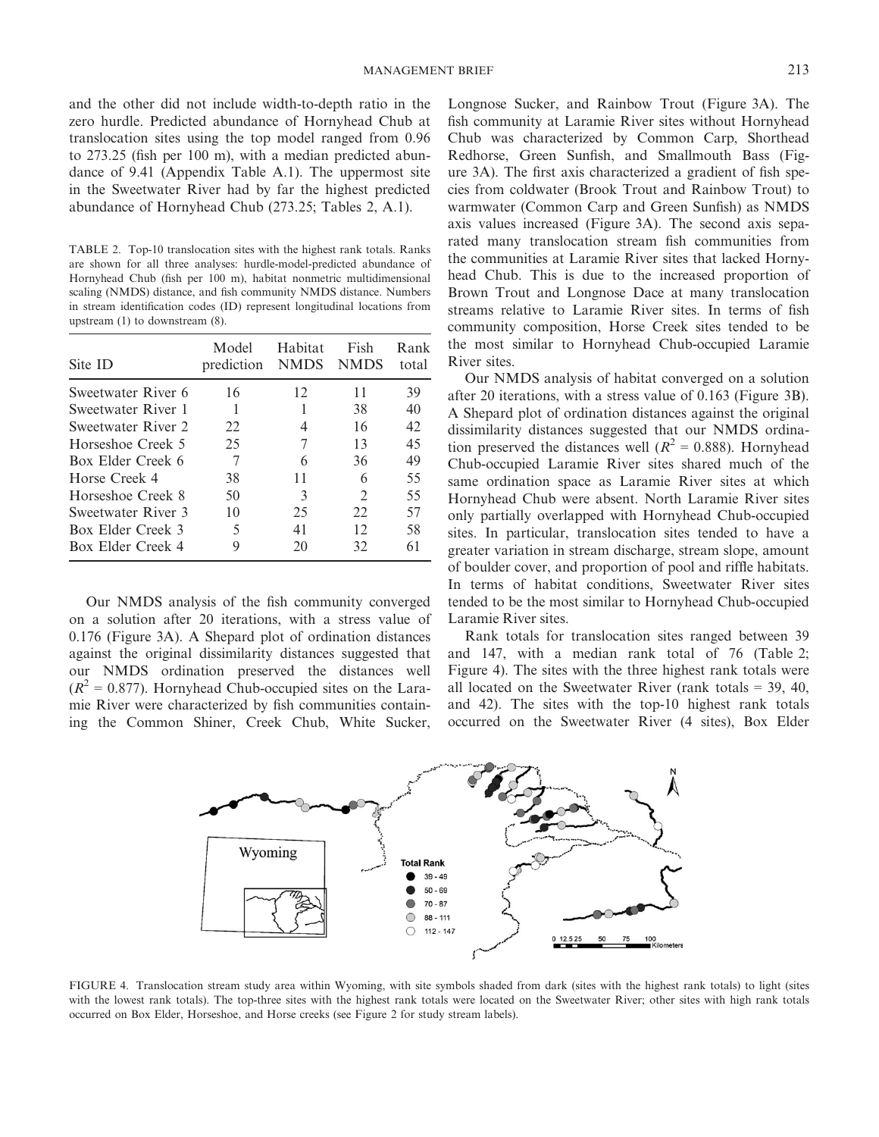and the other did not include width-to-depth ratio in the zero hurdle. Predicted abundance of Hornyhead Chub at translocation sites using the top model ranged from 0.96 to 273.25 (fish per 100 m), with a median predicted abundance of 9.41 (Appendix Table A.1). The uppermost site in the Sweetwater River had by far the highest predicted abundance of Hornyhead Chub (273.25; Tables 2, A.1).

TABLE 2. Top-10 translocation sites with the highest rank totals. Ranks are shown for all three analyses: hurdle-model-predicted abundance of Hornyhead Chub (fish per 100 m), habitat nonmetric multidimensional scaling (NMDS) distance, and fish community NMDS distance. Numbers in stream identification codes (ID) represent longitudinal locations from upstream (1) to downstream (8).

| Site ID            | Model<br>prediction | Habitat<br><b>NMDS</b> | Fish<br><b>NMDS</b> | Rank<br>total |
|--------------------|---------------------|------------------------|---------------------|---------------|
| Sweetwater River 6 | 16                  | 12                     | 11                  | 39            |
| Sweetwater River 1 | 1                   |                        | 38                  | 40            |
| Sweetwater River 2 | 22                  |                        | 16                  | 42            |
| Horseshoe Creek 5  | 25                  | 7                      | 13                  | 45            |
| Box Elder Creek 6  | 7                   | 6                      | 36                  | 49            |
| Horse Creek 4      | 38                  | 11                     | 6                   | 55            |
| Horseshoe Creek 8  | 50                  | 3                      | $\mathcal{L}$       | 55            |
| Sweetwater River 3 | 10                  | 25                     | 22                  | 57            |
| Box Elder Creek 3  | 5                   | 41                     | 12                  | 58            |
| Box Elder Creek 4  | 9                   | 20                     | 32                  | 61            |

Our NMDS analysis of the fish community converged on a solution after 20 iterations, with a stress value of 0.176 (Figure 3A). A Shepard plot of ordination distances against the original dissimilarity distances suggested that our NMDS ordination preserved the distances well  $(R^2 = 0.877)$ . Hornyhead Chub-occupied sites on the Laramie River were characterized by fish communities containing the Common Shiner, Creek Chub, White Sucker, Longnose Sucker, and Rainbow Trout (Figure 3A). The fish community at Laramie River sites without Hornyhead Chub was characterized by Common Carp, Shorthead Redhorse, Green Sunfish, and Smallmouth Bass (Figure 3A). The first axis characterized a gradient of fish species from coldwater (Brook Trout and Rainbow Trout) to warmwater (Common Carp and Green Sunfish) as NMDS axis values increased (Figure 3A). The second axis separated many translocation stream fish communities from the communities at Laramie River sites that lacked Hornyhead Chub. This is due to the increased proportion of Brown Trout and Longnose Dace at many translocation streams relative to Laramie River sites. In terms of fish community composition, Horse Creek sites tended to be the most similar to Hornyhead Chub-occupied Laramie River sites.

Our NMDS analysis of habitat converged on a solution after 20 iterations, with a stress value of 0.163 (Figure 3B). A Shepard plot of ordination distances against the original dissimilarity distances suggested that our NMDS ordination preserved the distances well ( $R^2 = 0.888$ ). Hornyhead Chub-occupied Laramie River sites shared much of the same ordination space as Laramie River sites at which Hornyhead Chub were absent. North Laramie River sites only partially overlapped with Hornyhead Chub-occupied sites. In particular, translocation sites tended to have a greater variation in stream discharge, stream slope, amount of boulder cover, and proportion of pool and riffle habitats. In terms of habitat conditions, Sweetwater River sites tended to be the most similar to Hornyhead Chub-occupied Laramie River sites.

Rank totals for translocation sites ranged between 39 and 147, with a median rank total of 76 (Table 2; Figure 4). The sites with the three highest rank totals were all located on the Sweetwater River (rank totals  $=$  39, 40, and 42). The sites with the top-10 highest rank totals occurred on the Sweetwater River (4 sites), Box Elder



FIGURE 4. Translocation stream study area within Wyoming, with site symbols shaded from dark (sites with the highest rank totals) to light (sites with the lowest rank totals). The top-three sites with the highest rank totals were located on the Sweetwater River; other sites with high rank totals occurred on Box Elder, Horseshoe, and Horse creeks (see Figure 2 for study stream labels).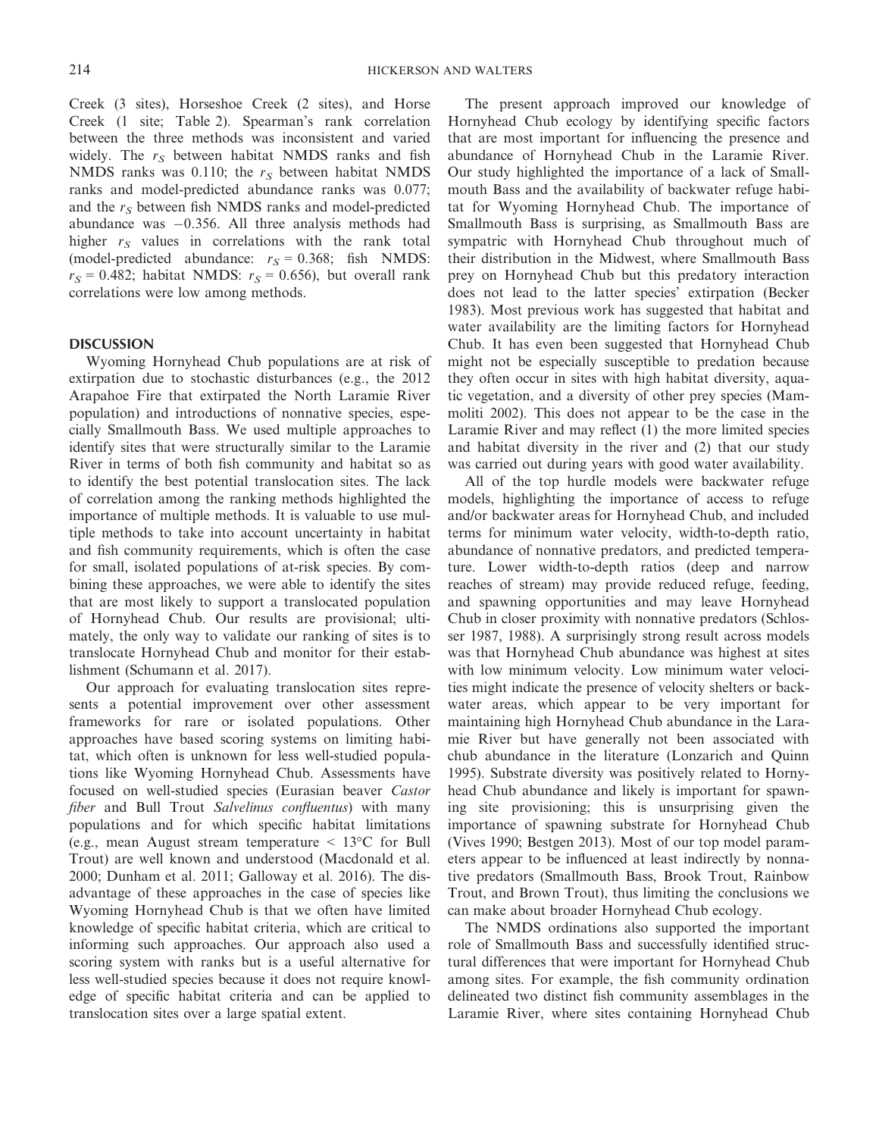Creek (3 sites), Horseshoe Creek (2 sites), and Horse Creek (1 site; Table 2). Spearman's rank correlation between the three methods was inconsistent and varied widely. The  $r_S$  between habitat NMDS ranks and fish NMDS ranks was 0.110; the  $r_S$  between habitat NMDS ranks and model-predicted abundance ranks was 0.077; and the  $r<sub>S</sub>$  between fish NMDS ranks and model-predicted abundance was  $-0.356$ . All three analysis methods had higher  $r<sub>S</sub>$  values in correlations with the rank total (model-predicted abundance:  $r_S = 0.368$ ; fish NMDS:  $r_S = 0.482$ ; habitat NMDS:  $r_S = 0.656$ ), but overall rank correlations were low among methods.

## **DISCUSSION**

Wyoming Hornyhead Chub populations are at risk of extirpation due to stochastic disturbances (e.g., the 2012 Arapahoe Fire that extirpated the North Laramie River population) and introductions of nonnative species, especially Smallmouth Bass. We used multiple approaches to identify sites that were structurally similar to the Laramie River in terms of both fish community and habitat so as to identify the best potential translocation sites. The lack of correlation among the ranking methods highlighted the importance of multiple methods. It is valuable to use multiple methods to take into account uncertainty in habitat and fish community requirements, which is often the case for small, isolated populations of at-risk species. By combining these approaches, we were able to identify the sites that are most likely to support a translocated population of Hornyhead Chub. Our results are provisional; ultimately, the only way to validate our ranking of sites is to translocate Hornyhead Chub and monitor for their establishment (Schumann et al. 2017).

Our approach for evaluating translocation sites represents a potential improvement over other assessment frameworks for rare or isolated populations. Other approaches have based scoring systems on limiting habitat, which often is unknown for less well-studied populations like Wyoming Hornyhead Chub. Assessments have focused on well-studied species (Eurasian beaver *Castor fiber* and Bull Trout *Salvelinus confluentus*) with many populations and for which specific habitat limitations (e.g., mean August stream temperature < 13°C for Bull Trout) are well known and understood (Macdonald et al. 2000; Dunham et al. 2011; Galloway et al. 2016). The disadvantage of these approaches in the case of species like Wyoming Hornyhead Chub is that we often have limited knowledge of specific habitat criteria, which are critical to informing such approaches. Our approach also used a scoring system with ranks but is a useful alternative for less well-studied species because it does not require knowledge of specific habitat criteria and can be applied to translocation sites over a large spatial extent.

The present approach improved our knowledge of Hornyhead Chub ecology by identifying specific factors that are most important for influencing the presence and abundance of Hornyhead Chub in the Laramie River. Our study highlighted the importance of a lack of Smallmouth Bass and the availability of backwater refuge habitat for Wyoming Hornyhead Chub. The importance of Smallmouth Bass is surprising, as Smallmouth Bass are sympatric with Hornyhead Chub throughout much of their distribution in the Midwest, where Smallmouth Bass prey on Hornyhead Chub but this predatory interaction does not lead to the latter species' extirpation (Becker 1983). Most previous work has suggested that habitat and water availability are the limiting factors for Hornyhead Chub. It has even been suggested that Hornyhead Chub might not be especially susceptible to predation because they often occur in sites with high habitat diversity, aquatic vegetation, and a diversity of other prey species (Mammoliti 2002). This does not appear to be the case in the Laramie River and may reflect (1) the more limited species and habitat diversity in the river and (2) that our study was carried out during years with good water availability.

All of the top hurdle models were backwater refuge models, highlighting the importance of access to refuge and/or backwater areas for Hornyhead Chub, and included terms for minimum water velocity, width-to-depth ratio, abundance of nonnative predators, and predicted temperature. Lower width-to-depth ratios (deep and narrow reaches of stream) may provide reduced refuge, feeding, and spawning opportunities and may leave Hornyhead Chub in closer proximity with nonnative predators (Schlosser 1987, 1988). A surprisingly strong result across models was that Hornyhead Chub abundance was highest at sites with low minimum velocity. Low minimum water velocities might indicate the presence of velocity shelters or backwater areas, which appear to be very important for maintaining high Hornyhead Chub abundance in the Laramie River but have generally not been associated with chub abundance in the literature (Lonzarich and Quinn 1995). Substrate diversity was positively related to Hornyhead Chub abundance and likely is important for spawning site provisioning; this is unsurprising given the importance of spawning substrate for Hornyhead Chub (Vives 1990; Bestgen 2013). Most of our top model parameters appear to be influenced at least indirectly by nonnative predators (Smallmouth Bass, Brook Trout, Rainbow Trout, and Brown Trout), thus limiting the conclusions we can make about broader Hornyhead Chub ecology.

The NMDS ordinations also supported the important role of Smallmouth Bass and successfully identified structural differences that were important for Hornyhead Chub among sites. For example, the fish community ordination delineated two distinct fish community assemblages in the Laramie River, where sites containing Hornyhead Chub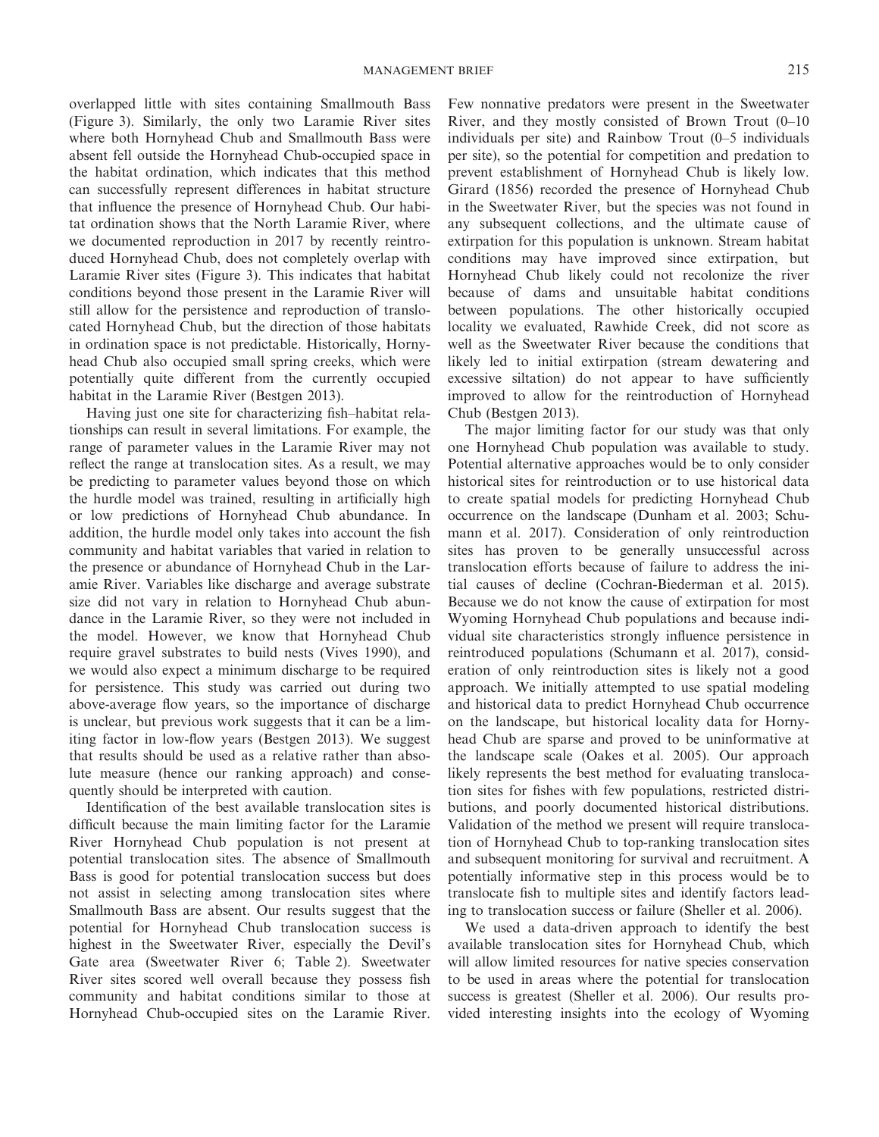overlapped little with sites containing Smallmouth Bass (Figure 3). Similarly, the only two Laramie River sites where both Hornyhead Chub and Smallmouth Bass were absent fell outside the Hornyhead Chub-occupied space in the habitat ordination, which indicates that this method can successfully represent differences in habitat structure that influence the presence of Hornyhead Chub. Our habitat ordination shows that the North Laramie River, where we documented reproduction in 2017 by recently reintroduced Hornyhead Chub, does not completely overlap with Laramie River sites (Figure 3). This indicates that habitat conditions beyond those present in the Laramie River will still allow for the persistence and reproduction of translocated Hornyhead Chub, but the direction of those habitats in ordination space is not predictable. Historically, Hornyhead Chub also occupied small spring creeks, which were potentially quite different from the currently occupied habitat in the Laramie River (Bestgen 2013).

Having just one site for characterizing fish–habitat relationships can result in several limitations. For example, the range of parameter values in the Laramie River may not reflect the range at translocation sites. As a result, we may be predicting to parameter values beyond those on which the hurdle model was trained, resulting in artificially high or low predictions of Hornyhead Chub abundance. In addition, the hurdle model only takes into account the fish community and habitat variables that varied in relation to the presence or abundance of Hornyhead Chub in the Laramie River. Variables like discharge and average substrate size did not vary in relation to Hornyhead Chub abundance in the Laramie River, so they were not included in the model. However, we know that Hornyhead Chub require gravel substrates to build nests (Vives 1990), and we would also expect a minimum discharge to be required for persistence. This study was carried out during two above-average flow years, so the importance of discharge is unclear, but previous work suggests that it can be a limiting factor in low-flow years (Bestgen 2013). We suggest that results should be used as a relative rather than absolute measure (hence our ranking approach) and consequently should be interpreted with caution.

Identification of the best available translocation sites is difficult because the main limiting factor for the Laramie River Hornyhead Chub population is not present at potential translocation sites. The absence of Smallmouth Bass is good for potential translocation success but does not assist in selecting among translocation sites where Smallmouth Bass are absent. Our results suggest that the potential for Hornyhead Chub translocation success is highest in the Sweetwater River, especially the Devil's Gate area (Sweetwater River 6; Table 2). Sweetwater River sites scored well overall because they possess fish community and habitat conditions similar to those at Hornyhead Chub-occupied sites on the Laramie River.

Few nonnative predators were present in the Sweetwater River, and they mostly consisted of Brown Trout (0–10 individuals per site) and Rainbow Trout (0–5 individuals per site), so the potential for competition and predation to prevent establishment of Hornyhead Chub is likely low. Girard (1856) recorded the presence of Hornyhead Chub in the Sweetwater River, but the species was not found in any subsequent collections, and the ultimate cause of extirpation for this population is unknown. Stream habitat conditions may have improved since extirpation, but Hornyhead Chub likely could not recolonize the river because of dams and unsuitable habitat conditions between populations. The other historically occupied locality we evaluated, Rawhide Creek, did not score as well as the Sweetwater River because the conditions that likely led to initial extirpation (stream dewatering and excessive siltation) do not appear to have sufficiently improved to allow for the reintroduction of Hornyhead Chub (Bestgen 2013).

The major limiting factor for our study was that only one Hornyhead Chub population was available to study. Potential alternative approaches would be to only consider historical sites for reintroduction or to use historical data to create spatial models for predicting Hornyhead Chub occurrence on the landscape (Dunham et al. 2003; Schumann et al. 2017). Consideration of only reintroduction sites has proven to be generally unsuccessful across translocation efforts because of failure to address the initial causes of decline (Cochran-Biederman et al. 2015). Because we do not know the cause of extirpation for most Wyoming Hornyhead Chub populations and because individual site characteristics strongly influence persistence in reintroduced populations (Schumann et al. 2017), consideration of only reintroduction sites is likely not a good approach. We initially attempted to use spatial modeling and historical data to predict Hornyhead Chub occurrence on the landscape, but historical locality data for Hornyhead Chub are sparse and proved to be uninformative at the landscape scale (Oakes et al. 2005). Our approach likely represents the best method for evaluating translocation sites for fishes with few populations, restricted distributions, and poorly documented historical distributions. Validation of the method we present will require translocation of Hornyhead Chub to top-ranking translocation sites and subsequent monitoring for survival and recruitment. A potentially informative step in this process would be to translocate fish to multiple sites and identify factors leading to translocation success or failure (Sheller et al. 2006).

We used a data-driven approach to identify the best available translocation sites for Hornyhead Chub, which will allow limited resources for native species conservation to be used in areas where the potential for translocation success is greatest (Sheller et al. 2006). Our results provided interesting insights into the ecology of Wyoming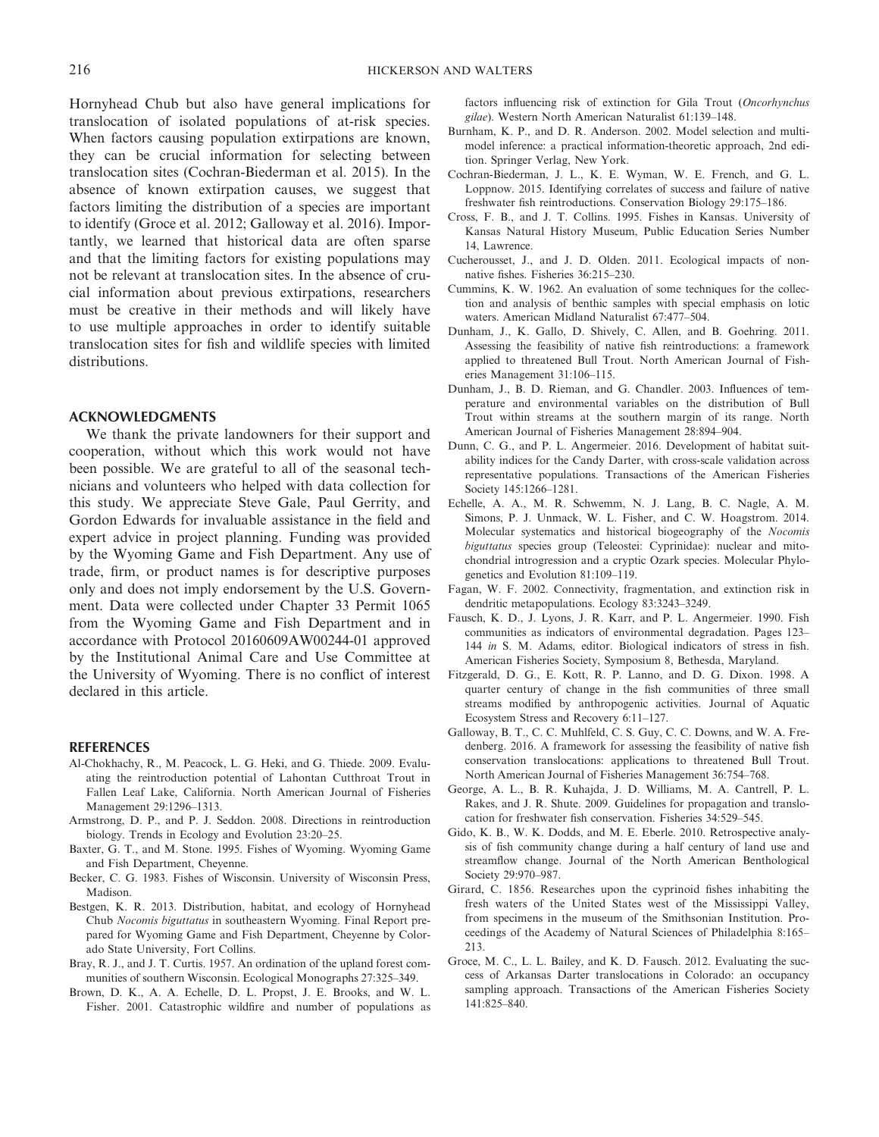Hornyhead Chub but also have general implications for translocation of isolated populations of at-risk species. When factors causing population extirpations are known, they can be crucial information for selecting between translocation sites (Cochran-Biederman et al. 2015). In the absence of known extirpation causes, we suggest that factors limiting the distribution of a species are important to identify (Groce et al. 2012; Galloway et al. 2016). Importantly, we learned that historical data are often sparse and that the limiting factors for existing populations may not be relevant at translocation sites. In the absence of crucial information about previous extirpations, researchers must be creative in their methods and will likely have to use multiple approaches in order to identify suitable translocation sites for fish and wildlife species with limited distributions.

# **ACKNOWLEDGMENTS**

We thank the private landowners for their support and cooperation, without which this work would not have been possible. We are grateful to all of the seasonal technicians and volunteers who helped with data collection for this study. We appreciate Steve Gale, Paul Gerrity, and Gordon Edwards for invaluable assistance in the field and expert advice in project planning. Funding was provided by the Wyoming Game and Fish Department. Any use of trade, firm, or product names is for descriptive purposes only and does not imply endorsement by the U.S. Government. Data were collected under Chapter 33 Permit 1065 from the Wyoming Game and Fish Department and in accordance with Protocol 20160609AW00244-01 approved by the Institutional Animal Care and Use Committee at the University of Wyoming. There is no conflict of interest declared in this article.

## **REFERENCES**

- Al-Chokhachy, R., M. Peacock, L. G. Heki, and G. Thiede. 2009. Evaluating the reintroduction potential of Lahontan Cutthroat Trout in Fallen Leaf Lake, California. North American Journal of Fisheries Management 29:1296–1313.
- Armstrong, D. P., and P. J. Seddon. 2008. Directions in reintroduction biology. Trends in Ecology and Evolution 23:20–25.
- Baxter, G. T., and M. Stone. 1995. Fishes of Wyoming. Wyoming Game and Fish Department, Cheyenne.
- Becker, C. G. 1983. Fishes of Wisconsin. University of Wisconsin Press, Madison.
- Bestgen, K. R. 2013. Distribution, habitat, and ecology of Hornyhead Chub *Nocomis biguttatus* in southeastern Wyoming. Final Report prepared for Wyoming Game and Fish Department, Cheyenne by Colorado State University, Fort Collins.
- Bray, R. J., and J. T. Curtis. 1957. An ordination of the upland forest communities of southern Wisconsin. Ecological Monographs 27:325–349.
- Brown, D. K., A. A. Echelle, D. L. Propst, J. E. Brooks, and W. L. Fisher. 2001. Catastrophic wildfire and number of populations as

factors influencing risk of extinction for Gila Trout (*Oncorhynchus gilae*). Western North American Naturalist 61:139–148.

- Burnham, K. P., and D. R. Anderson. 2002. Model selection and multimodel inference: a practical information-theoretic approach, 2nd edition. Springer Verlag, New York.
- Cochran-Biederman, J. L., K. E. Wyman, W. E. French, and G. L. Loppnow. 2015. Identifying correlates of success and failure of native freshwater fish reintroductions. Conservation Biology 29:175–186.
- Cross, F. B., and J. T. Collins. 1995. Fishes in Kansas. University of Kansas Natural History Museum, Public Education Series Number 14, Lawrence.
- Cucherousset, J., and J. D. Olden. 2011. Ecological impacts of nonnative fishes. Fisheries 36:215–230.
- Cummins, K. W. 1962. An evaluation of some techniques for the collection and analysis of benthic samples with special emphasis on lotic waters. American Midland Naturalist 67:477–504.
- Dunham, J., K. Gallo, D. Shively, C. Allen, and B. Goehring. 2011. Assessing the feasibility of native fish reintroductions: a framework applied to threatened Bull Trout. North American Journal of Fisheries Management 31:106–115.
- Dunham, J., B. D. Rieman, and G. Chandler. 2003. Influences of temperature and environmental variables on the distribution of Bull Trout within streams at the southern margin of its range. North American Journal of Fisheries Management 28:894–904.
- Dunn, C. G., and P. L. Angermeier. 2016. Development of habitat suitability indices for the Candy Darter, with cross-scale validation across representative populations. Transactions of the American Fisheries Society 145:1266–1281.
- Echelle, A. A., M. R. Schwemm, N. J. Lang, B. C. Nagle, A. M. Simons, P. J. Unmack, W. L. Fisher, and C. W. Hoagstrom. 2014. Molecular systematics and historical biogeography of the *Nocomis biguttatus* species group (Teleostei: Cyprinidae): nuclear and mitochondrial introgression and a cryptic Ozark species. Molecular Phylogenetics and Evolution 81:109–119.
- Fagan, W. F. 2002. Connectivity, fragmentation, and extinction risk in dendritic metapopulations. Ecology 83:3243–3249.
- Fausch, K. D., J. Lyons, J. R. Karr, and P. L. Angermeier. 1990. Fish communities as indicators of environmental degradation. Pages 123– 144 *in* S. M. Adams, editor. Biological indicators of stress in fish. American Fisheries Society, Symposium 8, Bethesda, Maryland.
- Fitzgerald, D. G., E. Kott, R. P. Lanno, and D. G. Dixon. 1998. A quarter century of change in the fish communities of three small streams modified by anthropogenic activities. Journal of Aquatic Ecosystem Stress and Recovery 6:11–127.
- Galloway, B. T., C. C. Muhlfeld, C. S. Guy, C. C. Downs, and W. A. Fredenberg. 2016. A framework for assessing the feasibility of native fish conservation translocations: applications to threatened Bull Trout. North American Journal of Fisheries Management 36:754–768.
- George, A. L., B. R. Kuhajda, J. D. Williams, M. A. Cantrell, P. L. Rakes, and J. R. Shute. 2009. Guidelines for propagation and translocation for freshwater fish conservation. Fisheries 34:529–545.
- Gido, K. B., W. K. Dodds, and M. E. Eberle. 2010. Retrospective analysis of fish community change during a half century of land use and streamflow change. Journal of the North American Benthological Society 29:970–987.
- Girard, C. 1856. Researches upon the cyprinoid fishes inhabiting the fresh waters of the United States west of the Mississippi Valley, from specimens in the museum of the Smithsonian Institution. Proceedings of the Academy of Natural Sciences of Philadelphia 8:165– 213.
- Groce, M. C., L. L. Bailey, and K. D. Fausch. 2012. Evaluating the success of Arkansas Darter translocations in Colorado: an occupancy sampling approach. Transactions of the American Fisheries Society 141:825–840.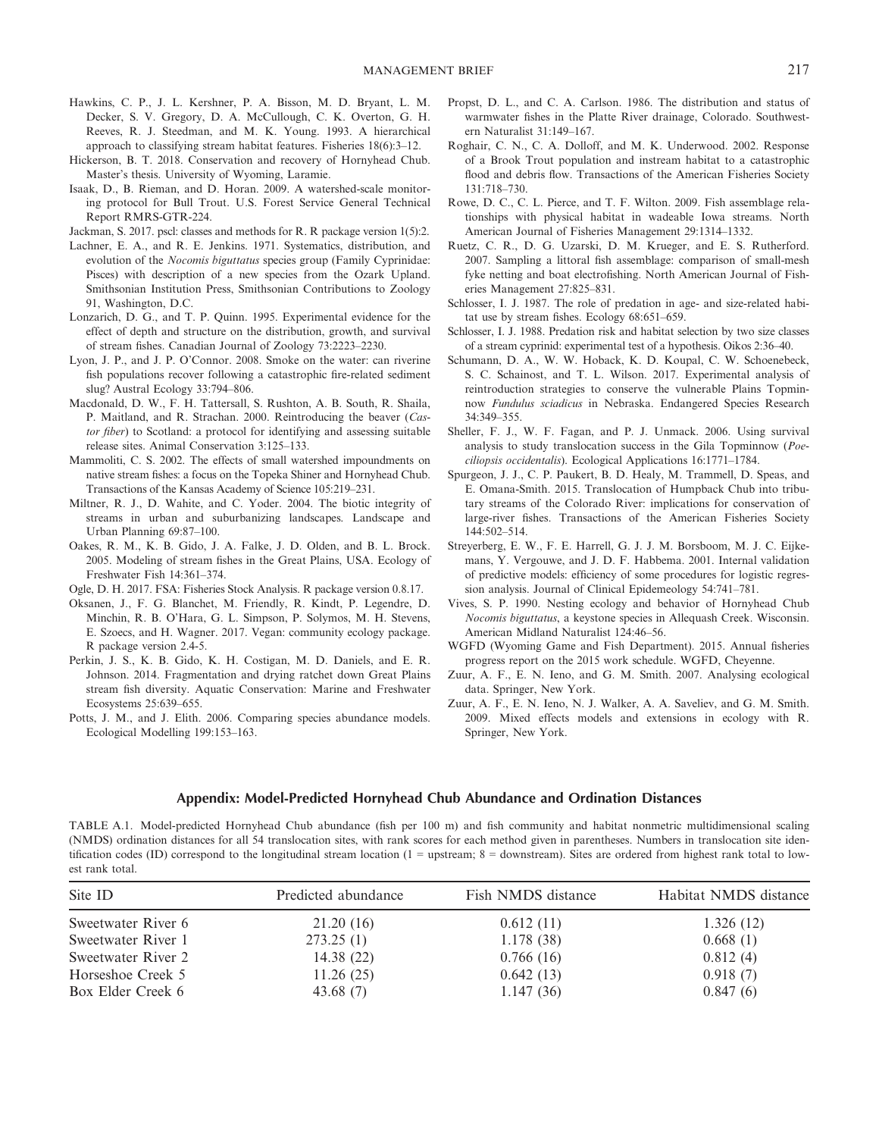- Hawkins, C. P., J. L. Kershner, P. A. Bisson, M. D. Bryant, L. M. Decker, S. V. Gregory, D. A. McCullough, C. K. Overton, G. H. Reeves, R. J. Steedman, and M. K. Young. 1993. A hierarchical approach to classifying stream habitat features. Fisheries 18(6):3–12.
- Hickerson, B. T. 2018. Conservation and recovery of Hornyhead Chub. Master's thesis. University of Wyoming, Laramie.
- Isaak, D., B. Rieman, and D. Horan. 2009. A watershed-scale monitoring protocol for Bull Trout. U.S. Forest Service General Technical Report RMRS-GTR-224.

Jackman, S. 2017. pscl: classes and methods for R. R package version 1(5):2.

- Lachner, E. A., and R. E. Jenkins. 1971. Systematics, distribution, and evolution of the *Nocomis biguttatus* species group (Family Cyprinidae: Pisces) with description of a new species from the Ozark Upland. Smithsonian Institution Press, Smithsonian Contributions to Zoology 91, Washington, D.C.
- Lonzarich, D. G., and T. P. Quinn. 1995. Experimental evidence for the effect of depth and structure on the distribution, growth, and survival of stream fishes. Canadian Journal of Zoology 73:2223–2230.
- Lyon, J. P., and J. P. O'Connor. 2008. Smoke on the water: can riverine fish populations recover following a catastrophic fire-related sediment slug? Austral Ecology 33:794–806.
- Macdonald, D. W., F. H. Tattersall, S. Rushton, A. B. South, R. Shaila, P. Maitland, and R. Strachan. 2000. Reintroducing the beaver (*Castor fiber*) to Scotland: a protocol for identifying and assessing suitable release sites. Animal Conservation 3:125–133.
- Mammoliti, C. S. 2002. The effects of small watershed impoundments on native stream fishes: a focus on the Topeka Shiner and Hornyhead Chub. Transactions of the Kansas Academy of Science 105:219–231.
- Miltner, R. J., D. Wahite, and C. Yoder. 2004. The biotic integrity of streams in urban and suburbanizing landscapes. Landscape and Urban Planning 69:87–100.
- Oakes, R. M., K. B. Gido, J. A. Falke, J. D. Olden, and B. L. Brock. 2005. Modeling of stream fishes in the Great Plains, USA. Ecology of Freshwater Fish 14:361–374.

Ogle, D. H. 2017. FSA: Fisheries Stock Analysis. R package version 0.8.17.

- Oksanen, J., F. G. Blanchet, M. Friendly, R. Kindt, P. Legendre, D. Minchin, R. B. O'Hara, G. L. Simpson, P. Solymos, M. H. Stevens, E. Szoecs, and H. Wagner. 2017. Vegan: community ecology package. R package version 2.4-5.
- Perkin, J. S., K. B. Gido, K. H. Costigan, M. D. Daniels, and E. R. Johnson. 2014. Fragmentation and drying ratchet down Great Plains stream fish diversity. Aquatic Conservation: Marine and Freshwater Ecosystems 25:639–655.
- Potts, J. M., and J. Elith. 2006. Comparing species abundance models. Ecological Modelling 199:153–163.
- Propst, D. L., and C. A. Carlson. 1986. The distribution and status of warmwater fishes in the Platte River drainage, Colorado. Southwestern Naturalist 31:149–167.
- Roghair, C. N., C. A. Dolloff, and M. K. Underwood. 2002. Response of a Brook Trout population and instream habitat to a catastrophic flood and debris flow. Transactions of the American Fisheries Society 131:718–730.
- Rowe, D. C., C. L. Pierce, and T. F. Wilton. 2009. Fish assemblage relationships with physical habitat in wadeable Iowa streams. North American Journal of Fisheries Management 29:1314–1332.
- Ruetz, C. R., D. G. Uzarski, D. M. Krueger, and E. S. Rutherford. 2007. Sampling a littoral fish assemblage: comparison of small-mesh fyke netting and boat electrofishing. North American Journal of Fisheries Management 27:825–831.
- Schlosser, I. J. 1987. The role of predation in age- and size-related habitat use by stream fishes. Ecology 68:651–659.
- Schlosser, I. J. 1988. Predation risk and habitat selection by two size classes of a stream cyprinid: experimental test of a hypothesis. Oikos 2:36–40.
- Schumann, D. A., W. W. Hoback, K. D. Koupal, C. W. Schoenebeck, S. C. Schainost, and T. L. Wilson. 2017. Experimental analysis of reintroduction strategies to conserve the vulnerable Plains Topminnow *Fundulus sciadicus* in Nebraska. Endangered Species Research 34:349–355.
- Sheller, F. J., W. F. Fagan, and P. J. Unmack. 2006. Using survival analysis to study translocation success in the Gila Topminnow (*Poeciliopsis occidentalis*). Ecological Applications 16:1771–1784.
- Spurgeon, J. J., C. P. Paukert, B. D. Healy, M. Trammell, D. Speas, and E. Omana-Smith. 2015. Translocation of Humpback Chub into tributary streams of the Colorado River: implications for conservation of large-river fishes. Transactions of the American Fisheries Society 144:502–514.
- Streyerberg, E. W., F. E. Harrell, G. J. J. M. Borsboom, M. J. C. Eijkemans, Y. Vergouwe, and J. D. F. Habbema. 2001. Internal validation of predictive models: efficiency of some procedures for logistic regression analysis. Journal of Clinical Epidemeology 54:741–781.
- Vives, S. P. 1990. Nesting ecology and behavior of Hornyhead Chub *Nocomis biguttatus*, a keystone species in Allequash Creek. Wisconsin. American Midland Naturalist 124:46–56.
- WGFD (Wyoming Game and Fish Department). 2015. Annual fisheries progress report on the 2015 work schedule. WGFD, Cheyenne.
- Zuur, A. F., E. N. Ieno, and G. M. Smith. 2007. Analysing ecological data. Springer, New York.
- Zuur, A. F., E. N. Ieno, N. J. Walker, A. A. Saveliev, and G. M. Smith. 2009. Mixed effects models and extensions in ecology with R. Springer, New York.

## **Appendix: Model-Predicted Hornyhead Chub Abundance and Ordination Distances**

TABLE A.1. Model-predicted Hornyhead Chub abundance (fish per 100 m) and fish community and habitat nonmetric multidimensional scaling (NMDS) ordination distances for all 54 translocation sites, with rank scores for each method given in parentheses. Numbers in translocation site identification codes (ID) correspond to the longitudinal stream location  $(1 =$  upstream;  $8 =$  downstream). Sites are ordered from highest rank total to lowest rank total.

| Site ID            | Predicted abundance | Fish NMDS distance | Habitat NMDS distance |
|--------------------|---------------------|--------------------|-----------------------|
| Sweetwater River 6 | 21.20 (16)          | 0.612(11)          | 1.326(12)             |
| Sweetwater River 1 | 273.25(1)           | 1.178(38)          | 0.668(1)              |
| Sweetwater River 2 | 14.38(22)           | 0.766(16)          | 0.812(4)              |
| Horseshoe Creek 5  | 11.26(25)           | 0.642(13)          | 0.918(7)              |
| Box Elder Creek 6  | 43.68(7)            | 1.147(36)          | 0.847(6)              |